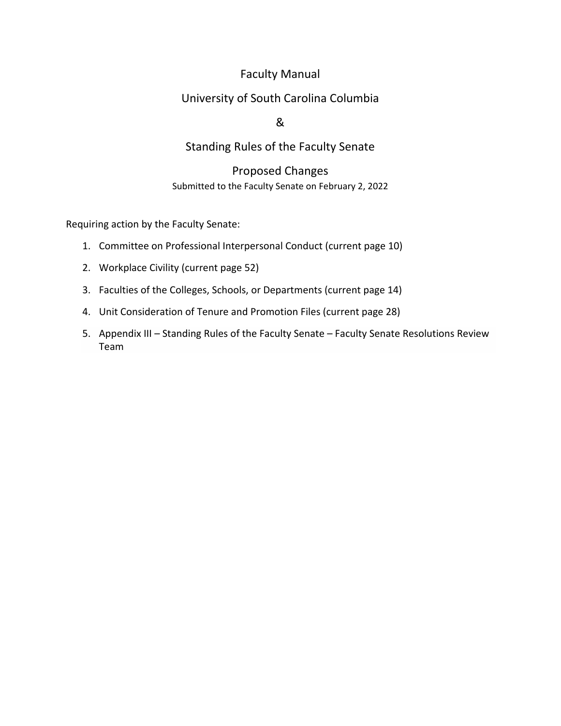# Faculty Manual

# University of South Carolina Columbia

## &

# Standing Rules of the Faculty Senate

## Proposed Changes Submitted to the Faculty Senate on February 2, 2022

Requiring action by the Faculty Senate:

- 1. Committee on Professional Interpersonal Conduct (current page 10)
- 2. Workplace Civility (current page 52)
- 3. Faculties of the Colleges, Schools, or Departments (current page 14)
- 4. Unit Consideration of Tenure and Promotion Files (current page 28)
- 5. Appendix III Standing Rules of the Faculty Senate Faculty Senate Resolutions Review Team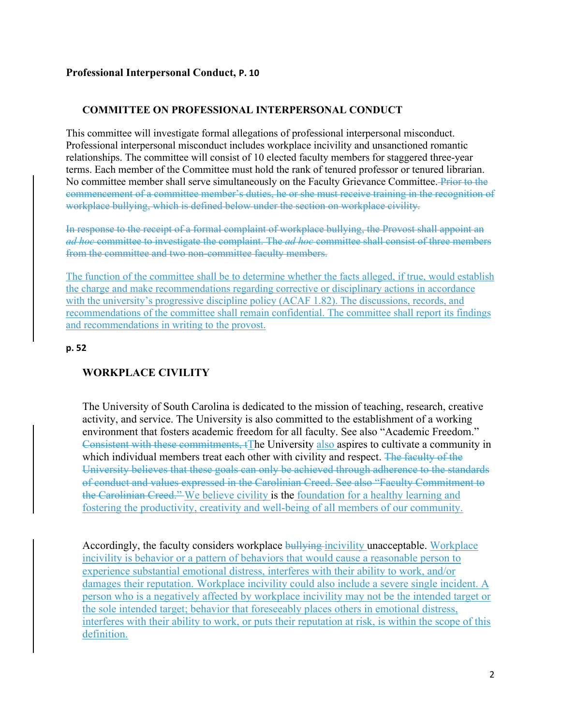### **Professional Interpersonal Conduct, P. 10**

#### **COMMITTEE ON PROFESSIONAL INTERPERSONAL CONDUCT**

This committee will investigate formal allegations of professional interpersonal misconduct. Professional interpersonal misconduct includes workplace incivility and unsanctioned romantic relationships. The committee will consist of 10 elected faculty members for staggered three-year terms. Each member of the Committee must hold the rank of tenured professor or tenured librarian. No committee member shall serve simultaneously on the Faculty Grievance Committee. Prior to the commencement of a committee member's duties, he or she must receive training in the recognition of workplace bullying, which is defined below under the section on workplace civility.

In response to the receipt of a formal complaint of workplace bullying, the Provost shall appoint an *ad hoc* committee to investigate the complaint. The *ad hoc* committee shall consist of three members from the committee and two non-committee faculty members.

The function of the committee shall be to determine whether the facts alleged, if true, would establish the charge and make recommendations regarding corrective or disciplinary actions in accordance with the university's progressive discipline policy (ACAF 1.82). The discussions, records, and recommendations of the committee shall remain confidential. The committee shall report its findings and recommendations in writing to the provost.

#### **p. 52**

### **WORKPLACE CIVILITY**

The University of South Carolina is dedicated to the mission of teaching, research, creative activity, and service. The University is also committed to the establishment of a working environment that fosters academic freedom for all faculty. See also "Academic Freedom." Consistent with these commitments, tThe University also aspires to cultivate a community in which individual members treat each other with civility and respect. The faculty of the University believes that these goals can only be achieved through adherence to the standards of conduct and values expressed in the Carolinian Creed. See also "Faculty Commitment to the Carolinian Creed." We believe civility is the foundation for a healthy learning and fostering the productivity, creativity and well-being of all members of our community.

Accordingly, the faculty considers workplace bullying incivility unacceptable. Workplace incivility is behavior or a pattern of behaviors that would cause a reasonable person to experience substantial emotional distress, interferes with their ability to work, and/or damages their reputation. Workplace incivility could also include a severe single incident. A person who is a negatively affected by workplace incivility may not be the intended target or the sole intended target; behavior that foreseeably places others in emotional distress, interferes with their ability to work, or puts their reputation at risk, is within the scope of this definition.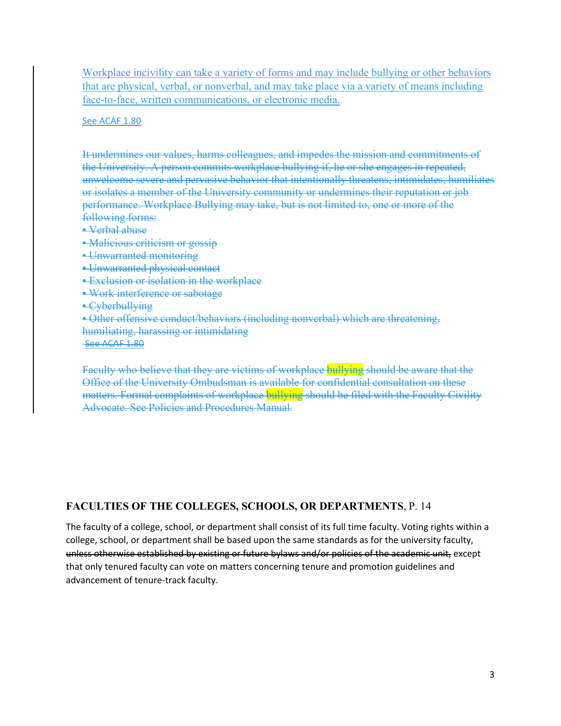Workplace incivility can take a variety of forms and may include bullying or other behaviors that are physical, verbal, or nonverbal, and may take place via a variety of means including face-to-face, written communications, or electronic media.

#### See ACAF 1.80

It undermines our values, harms colleagues, and impedes the mission and commitments of the University. A person commits workplace bullying if, he or she engages in repeated, unwelcome severe and pervasive behavior that intentionally threatens, intimidates, humiliates or isolates a member of the University community or undermines their reputation or job performance. Workplace Bullying may take, but is not limited to, one or more of the following forms:

- Verbal abuse
- Malicious criticism or gossip
- Unwarranted monitoring
- Unwarranted physical contact
- Exclusion or isolation in the workplace
- Work interference or sabotage
- Cyberbullying

• Other offensive conduct/behaviors (including nonverbal) which are threatening, humiliating, harassing or intimidating See ACAF 1.80

Faculty who believe that they are victims of workplace bullying should be aware that the Office of the University Ombudsman is available for confidential consultation on these matters. Formal complaints of workplace bullying should be filed with the Faculty Civility Advocate. See Policies and Procedures Manual.

### **FACULTIES OF THE COLLEGES, SCHOOLS, OR DEPARTMENTS**, P. 14

The faculty of a college, school, or department shall consist of its full time faculty. Voting rights within a college, school, or department shall be based upon the same standards as for the university faculty, unless otherwise established by existing or future bylaws and/or policies of the academic unit, except that only tenured faculty can vote on matters concerning tenure and promotion guidelines and advancement of tenure‐track faculty.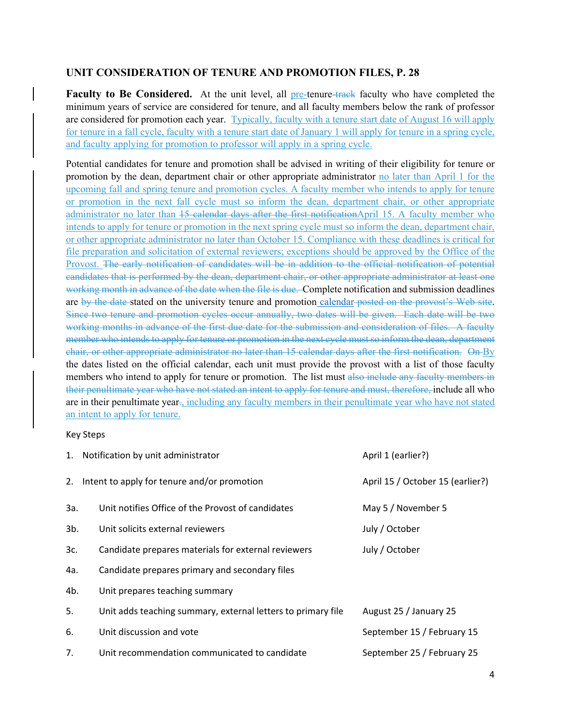### **UNIT CONSIDERATION OF TENURE AND PROMOTION FILES, P. 28**

**Faculty to Be Considered.** At the unit level, all pre-tenure-track faculty who have completed the minimum years of service are considered for tenure, and all faculty members below the rank of professor are considered for promotion each year. Typically, faculty with a tenure start date of August 16 will apply for tenure in a fall cycle, faculty with a tenure start date of January 1 will apply for tenure in a spring cycle, and faculty applying for promotion to professor will apply in a spring cycle.

Potential candidates for tenure and promotion shall be advised in writing of their eligibility for tenure or promotion by the dean, department chair or other appropriate administrator no later than April 1 for the upcoming fall and spring tenure and promotion cycles. A faculty member who intends to apply for tenure or promotion in the next fall cycle must so inform the dean, department chair, or other appropriate administrator no later than 15 calendar days after the first notificationApril 15. A faculty member who intends to apply for tenure or promotion in the next spring cycle must so inform the dean, department chair, or other appropriate administrator no later than October 15. Compliance with these deadlines is critical for file preparation and solicitation of external reviewers; exceptions should be approved by the Office of the Provost. The early notification of candidates will be in addition to the official notification of potential candidates that is performed by the dean, department chair, or other appropriate administrator at least one working month in advance of the date when the file is due. Complete notification and submission deadlines are by the date stated on the university tenure and promotion calendar posted on the provost's Web site. Since two tenure and promotion cycles occur annually, two dates will be given. Each date will be two working months in advance of the first due date for the submission and consideration of files. A faculty member who intends to apply for tenure or promotion in the next cycle must so inform the dean, department chair, or other appropriate administrator no later than 15 calendar days after the first notification. On By the dates listed on the official calendar, each unit must provide the provost with a list of those faculty members who intend to apply for tenure or promotion. The list must also include any faculty members in their penultimate year who have not stated an intent to apply for tenure and must, therefore, include all who are in their penultimate year., including any faculty members in their penultimate year who have not stated an intent to apply for tenure.

#### Key Steps

|        | 1. Notification by unit administrator                        | April 1 (earlier?)               |
|--------|--------------------------------------------------------------|----------------------------------|
|        | 2. Intent to apply for tenure and/or promotion               | April 15 / October 15 (earlier?) |
| За.    | Unit notifies Office of the Provost of candidates            | May 5 / November 5               |
| $3b$ . | Unit solicits external reviewers                             | July / October                   |
| 3c.    | Candidate prepares materials for external reviewers          | July / October                   |
| 4a.    | Candidate prepares primary and secondary files               |                                  |
| 4b.    | Unit prepares teaching summary                               |                                  |
| 5.     | Unit adds teaching summary, external letters to primary file | August 25 / January 25           |
| 6.     | Unit discussion and vote                                     | September 15 / February 15       |
| 7.     | Unit recommendation communicated to candidate                | September 25 / February 25       |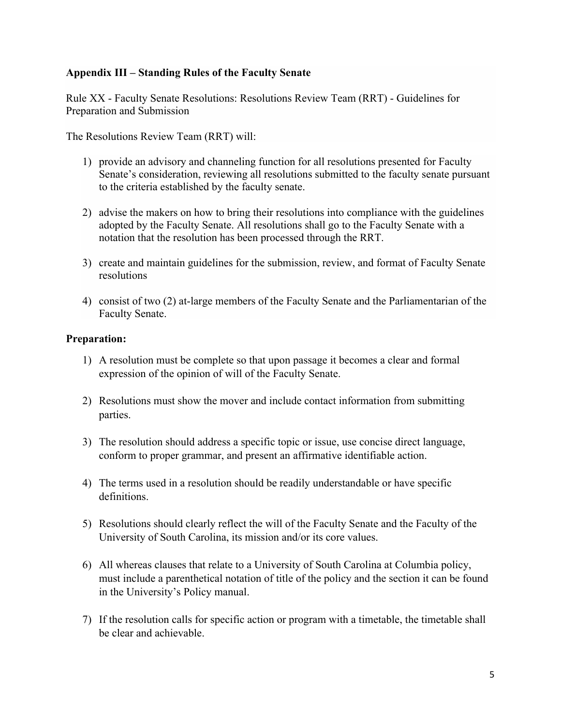### **Appendix III – Standing Rules of the Faculty Senate**

Rule XX - Faculty Senate Resolutions: Resolutions Review Team (RRT) - Guidelines for Preparation and Submission

The Resolutions Review Team (RRT) will:

- 1) provide an advisory and channeling function for all resolutions presented for Faculty Senate's consideration, reviewing all resolutions submitted to the faculty senate pursuant to the criteria established by the faculty senate.
- 2) advise the makers on how to bring their resolutions into compliance with the guidelines adopted by the Faculty Senate. All resolutions shall go to the Faculty Senate with a notation that the resolution has been processed through the RRT.
- 3) create and maintain guidelines for the submission, review, and format of Faculty Senate resolutions
- 4) consist of two (2) at-large members of the Faculty Senate and the Parliamentarian of the Faculty Senate.

### **Preparation:**

- 1) A resolution must be complete so that upon passage it becomes a clear and formal expression of the opinion of will of the Faculty Senate.
- 2) Resolutions must show the mover and include contact information from submitting parties.
- 3) The resolution should address a specific topic or issue, use concise direct language, conform to proper grammar, and present an affirmative identifiable action.
- 4) The terms used in a resolution should be readily understandable or have specific definitions.
- 5) Resolutions should clearly reflect the will of the Faculty Senate and the Faculty of the University of South Carolina, its mission and/or its core values.
- 6) All whereas clauses that relate to a University of South Carolina at Columbia policy, must include a parenthetical notation of title of the policy and the section it can be found in the University's Policy manual.
- 7) If the resolution calls for specific action or program with a timetable, the timetable shall be clear and achievable.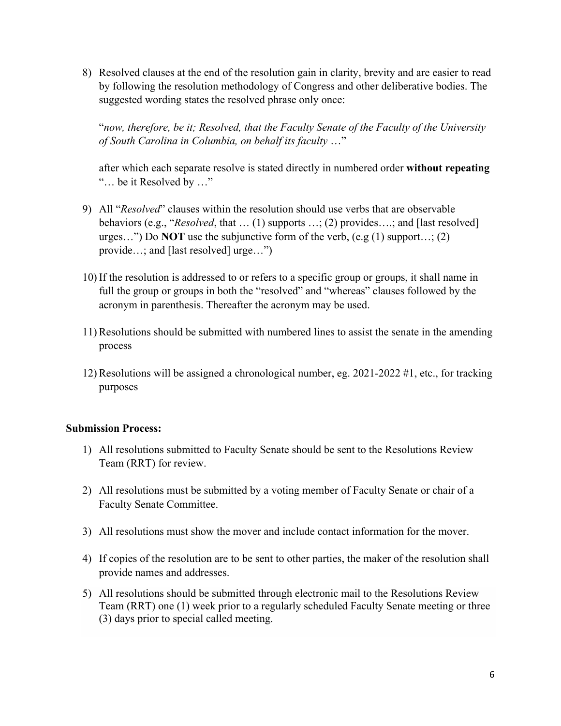8) Resolved clauses at the end of the resolution gain in clarity, brevity and are easier to read by following the resolution methodology of Congress and other deliberative bodies. The suggested wording states the resolved phrase only once:

"*now, therefore, be it; Resolved, that the Faculty Senate of the Faculty of the University of South Carolina in Columbia, on behalf its faculty* …"

after which each separate resolve is stated directly in numbered order **without repeating** "… be it Resolved by …"

- 9) All "*Resolved*" clauses within the resolution should use verbs that are observable behaviors (e.g., "*Resolved*, that … (1) supports …; (2) provides….; and [last resolved] urges…") Do **NOT** use the subjunctive form of the verb, (e.g (1) support…; (2) provide…; and [last resolved] urge…")
- 10) If the resolution is addressed to or refers to a specific group or groups, it shall name in full the group or groups in both the "resolved" and "whereas" clauses followed by the acronym in parenthesis. Thereafter the acronym may be used.
- 11) Resolutions should be submitted with numbered lines to assist the senate in the amending process
- 12) Resolutions will be assigned a chronological number, eg. 2021-2022 #1, etc., for tracking purposes

### **Submission Process:**

- 1) All resolutions submitted to Faculty Senate should be sent to the Resolutions Review Team (RRT) for review.
- 2) All resolutions must be submitted by a voting member of Faculty Senate or chair of a Faculty Senate Committee.
- 3) All resolutions must show the mover and include contact information for the mover.
- 4) If copies of the resolution are to be sent to other parties, the maker of the resolution shall provide names and addresses.
- 5) All resolutions should be submitted through electronic mail to the Resolutions Review Team (RRT) one (1) week prior to a regularly scheduled Faculty Senate meeting or three (3) days prior to special called meeting.